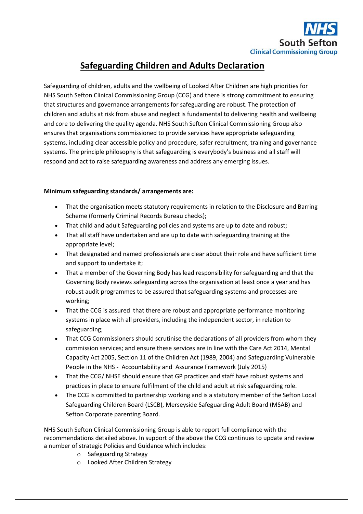

## **Safeguarding Children and Adults Declaration**

Safeguarding of children, adults and the wellbeing of Looked After Children are high priorities for NHS South Sefton Clinical Commissioning Group (CCG) and there is strong commitment to ensuring that structures and governance arrangements for safeguarding are robust. The protection of children and adults at risk from abuse and neglect is fundamental to delivering health and wellbeing and core to delivering the quality agenda. NHS South Sefton Clinical Commissioning Group also ensures that organisations commissioned to provide services have appropriate safeguarding systems, including clear accessible policy and procedure, safer recruitment, training and governance systems. The principle philosophy is that safeguarding is everybody's business and all staff will respond and act to raise safeguarding awareness and address any emerging issues.

## **Minimum safeguarding standards/ arrangements are:**

- That the organisation meets statutory requirements in relation to the Disclosure and Barring Scheme (formerly Criminal Records Bureau checks);
- That child and adult Safeguarding policies and systems are up to date and robust;
- That all staff have undertaken and are up to date with safeguarding training at the appropriate level;
- That designated and named professionals are clear about their role and have sufficient time and support to undertake it;
- That a member of the Governing Body has lead responsibility for safeguarding and that the Governing Body reviews safeguarding across the organisation at least once a year and has robust audit programmes to be assured that safeguarding systems and processes are working;
- That the CCG is assured that there are robust and appropriate performance monitoring systems in place with all providers, including the independent sector, in relation to safeguarding;
- That CCG Commissioners should scrutinise the declarations of all providers from whom they commission services; and ensure these services are in line with the Care Act 2014, Mental Capacity Act 2005, Section 11 of the Children Act (1989, 2004) and Safeguarding Vulnerable People in the NHS - Accountability and Assurance Framework (July 2015)
- That the CCG/ NHSE should ensure that GP practices and staff have robust systems and practices in place to ensure fulfilment of the child and adult at risk safeguarding role.
- The CCG is committed to partnership working and is a statutory member of the Sefton Local Safeguarding Children Board (LSCB), Merseyside Safeguarding Adult Board (MSAB) and Sefton Corporate parenting Board.

NHS South Sefton Clinical Commissioning Group is able to report full compliance with the recommendations detailed above. In support of the above the CCG continues to update and review a number of strategic Policies and Guidance which includes:

- o Safeguarding Strategy
- o Looked After Children Strategy